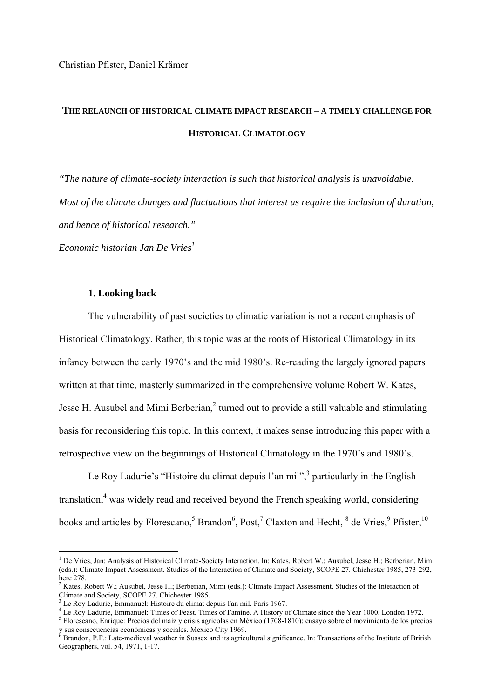# **THE RELAUNCH OF HISTORICAL CLIMATE IMPACT RESEARCH – A TIMELY CHALLENGE FOR HISTORICAL CLIMATOLOGY**

*"The nature of climate-society interaction is such that historical analysis is unavoidable. Most of the climate changes and fluctuations that interest us require the inclusion of duration, and hence of historical research." Economic historian Jan De Vries1*

#### **1. Looking back**

1

The vulnerability of past societies to climatic variation is not a recent emphasis of Historical Climatology. Rather, this topic was at the roots of Historical Climatology in its infancy between the early 1970's and the mid 1980's. Re-reading the largely ignored papers written at that time, masterly summarized in the comprehensive volume Robert W. Kates, Jesse H. Ausubel and Mimi Berberian, $<sup>2</sup>$  turned out to provide a still valuable and stimulating</sup> basis for reconsidering this topic. In this context, it makes sense introducing this paper with a retrospective view on the beginnings of Historical Climatology in the 1970's and 1980's.

Le Roy Ladurie's "Histoire du climat depuis l'an mil", particularly in the English translation,<sup>4</sup> was widely read and received beyond the French speaking world, considering books and articles by Florescano,  $5$  Brandon $^6$ , Post,  $^7$  Claxton and Hecht,  $^8$  de Vries,  $^9$  Pfister,  $^{10}$ 

<sup>&</sup>lt;sup>1</sup> De Vries, Jan: Analysis of Historical Climate-Society Interaction. In: Kates, Robert W.; Ausubel, Jesse H.; Berberian, Mimi (eds.): Climate Impact Assessment. Studies of the Interaction of Climate and Society, SCOPE 27. Chichester 1985, 273-292, here 278

 $2$  Kates, Robert W.; Ausubel, Jesse H.; Berberian, Mimi (eds.): Climate Impact Assessment. Studies of the Interaction of Climate and Society, SCOPE 27. Chichester 1985.

<sup>&</sup>lt;sup>3</sup> Le Roy Ladurie, Emmanuel: Histoire du climat depuis l'an mil. Paris 1967.<br><sup>4</sup> Le Peu Ledurie, Emmanuel: Times of Foast, Times of Famine, A History o

Le Roy Ladurie, Emmanuel: Times of Feast, Times of Famine. A History of Climate since the Year 1000. London 1972.

Florescano, Enrique: Precios del maíz y crisis agrícolas en México (1708-1810); ensayo sobre el movimiento de los precios y sus consecuencias económicas y sociales. Mexico City 1969.<br><sup>6</sup> Brandon, P.F.: Late-medieval weather in Sussex and its agricultural significance. In: Transactions of the Institute of British

Geographers, vol. 54, 1971, 1-17.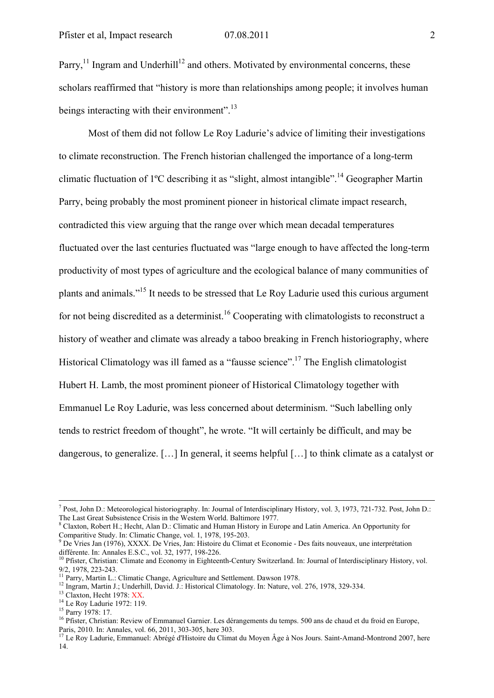Parry, $<sup>11</sup>$  Ingram and Underhill<sup>12</sup> and others. Motivated by environmental concerns, these</sup> scholars reaffirmed that "history is more than relationships among people; it involves human beings interacting with their environment".<sup>13</sup>

Most of them did not follow Le Roy Ladurie's advice of limiting their investigations to climate reconstruction. The French historian challenged the importance of a long-term climatic fluctuation of  $1^{\circ}C$  describing it as "slight, almost intangible".<sup>14</sup> Geographer Martin Parry, being probably the most prominent pioneer in historical climate impact research, contradicted this view arguing that the range over which mean decadal temperatures fluctuated over the last centuries fluctuated was "large enough to have affected the long-term productivity of most types of agriculture and the ecological balance of many communities of plants and animals."15 It needs to be stressed that Le Roy Ladurie used this curious argument for not being discredited as a determinist.<sup>16</sup> Cooperating with climatologists to reconstruct a history of weather and climate was already a taboo breaking in French historiography, where Historical Climatology was ill famed as a "fausse science".<sup>17</sup> The English climatologist Hubert H. Lamb, the most prominent pioneer of Historical Climatology together with Emmanuel Le Roy Ladurie, was less concerned about determinism. "Such labelling only tends to restrict freedom of thought", he wrote. "It will certainly be difficult, and may be dangerous, to generalize. […] In general, it seems helpful […] to think climate as a catalyst or

différente. In: Annales E.S.C., vol. 32, 1977, 198-226.<br><sup>10</sup> Pfister, Christian: Climate and Economy in Eighteenth-Century Switzerland. In: Journal of Interdisciplinary History, vol.

<sup>-&</sup>lt;br>7 Post, John D.: Meteorological historiography. In: Journal of Interdisciplinary History, vol. 3, 1973, 721-732. Post, John D.: The Last Great Subsistence Crisis in the Western World. Baltimore 1977.

<sup>&</sup>lt;sup>8</sup> Claxton, Robert H.; Hecht, Alan D.: Climatic and Human History in Europe and Latin America. An Opportunity for Comparitive Study. In: Climatic Change, vol. 1, 1978, 195-203. 9 De Vries Jan (1976), XXXX. De Vries, Jan: Histoire du Climat et Economie - Des faits nouveaux, une interprétation

<sup>9/2, 1978, 223-243.&</sup>lt;br><sup>11</sup> Parry, Martin L.: Climatic Change, Agriculture and Settlement. Dawson 1978.

<sup>&</sup>lt;sup>12</sup> Ingram, Martin J.; Underhill, David. J.: Historical Climatology. In: Nature, vol. 276, 1978, 329-334.<br><sup>13</sup> Claxton, Hecht 1978: XX.<br><sup>14</sup> Le Roy Ladurie 1972: 119.

<sup>&</sup>lt;sup>15</sup> Parry 1978: 17.

<sup>&</sup>lt;sup>16</sup> Pfister, Christian: Review of Emmanuel Garnier. Les dérangements du temps. 500 ans de chaud et du froid en Europe, Paris, 2010. In: Annales, vol. 66, 2011, 303-305, here 303.

<sup>&</sup>lt;sup>17</sup> Le Roy Ladurie, Emmanuel: Abrégé d'Histoire du Climat du Moyen Âge à Nos Jours. Saint-Amand-Montrond 2007, here 14.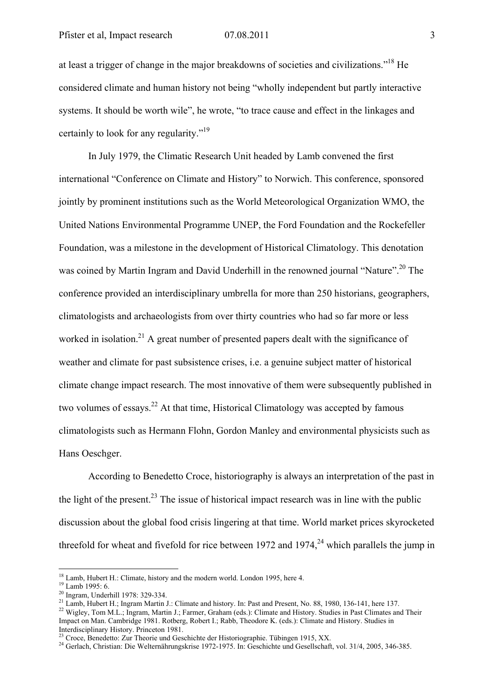at least a trigger of change in the major breakdowns of societies and civilizations."18 He considered climate and human history not being "wholly independent but partly interactive systems. It should be worth wile", he wrote, "to trace cause and effect in the linkages and certainly to look for any regularity."19

In July 1979, the Climatic Research Unit headed by Lamb convened the first international "Conference on Climate and History" to Norwich. This conference, sponsored jointly by prominent institutions such as the World Meteorological Organization WMO, the United Nations Environmental Programme UNEP, the Ford Foundation and the Rockefeller Foundation, was a milestone in the development of Historical Climatology. This denotation was coined by Martin Ingram and David Underhill in the renowned journal "Nature".20 The conference provided an interdisciplinary umbrella for more than 250 historians, geographers, climatologists and archaeologists from over thirty countries who had so far more or less worked in isolation.<sup>21</sup> A great number of presented papers dealt with the significance of weather and climate for past subsistence crises, i.e. a genuine subject matter of historical climate change impact research. The most innovative of them were subsequently published in two volumes of essays.<sup>22</sup> At that time. Historical Climatology was accepted by famous climatologists such as Hermann Flohn, Gordon Manley and environmental physicists such as Hans Oeschger.

According to Benedetto Croce, historiography is always an interpretation of the past in the light of the present.<sup>23</sup> The issue of historical impact research was in line with the public discussion about the global food crisis lingering at that time. World market prices skyrocketed threefold for wheat and fivefold for rice between 1972 and 1974.<sup>24</sup> which parallels the jump in

<sup>&</sup>lt;sup>18</sup> Lamb, Hubert H.: Climate, history and the modern world. London 1995, here 4. <sup>19</sup> Lamb 1995: 6.

 $\frac{20}{1}$  Ingram, Underhill 1978: 329-334.<br><sup>21</sup> Lamb, Hubert H.; Ingram Martin J.: Climate and history. In: Past and Present, No. 88, 1980, 136-141, here 137.

<sup>&</sup>lt;sup>22</sup> Wigley, Tom M.L.; Ingram, Martin J.; Farmer, Graham (eds.): Climate and History. Studies in Past Climates and Their Impact on Man. Cambridge 1981. Rotberg, Robert I.; Rabb, Theodore K. (eds.): Climate and History. Studies in Interdisciplinary History. Princeton 1981.<br>
<sup>23</sup> Croce, Benedetto: Zur Theorie und Geschichte der Historiographie. Tübingen 1915, XX.

<sup>&</sup>lt;sup>24</sup> Gerlach, Christian: Die Welternährungskrise 1972-1975. In: Geschichte und Gesellschaft, vol. 31/4, 2005, 346-385.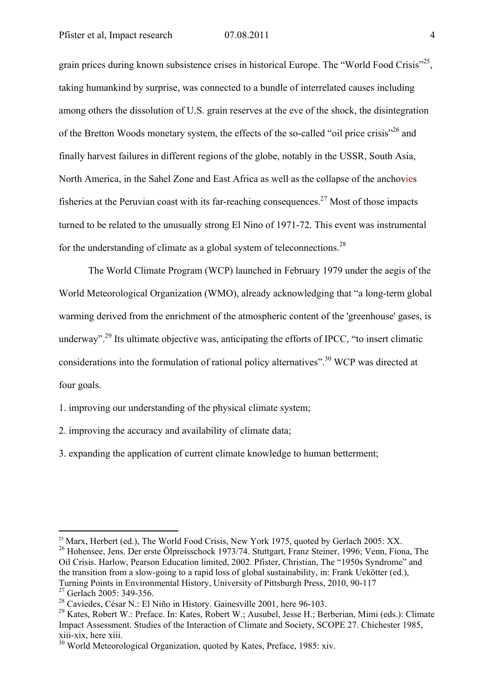grain prices during known subsistence crises in historical Europe. The "World Food Crisis"<sup>25</sup>, taking humankind by surprise, was connected to a bundle of interrelated causes including among others the dissolution of U.S. grain reserves at the eve of the shock, the disintegration of the Bretton Woods monetary system, the effects of the so-called "oil price crisis"26 and finally harvest failures in different regions of the globe, notably in the USSR, South Asia, North America, in the Sahel Zone and East Africa as well as the collapse of the anchovies fisheries at the Peruvian coast with its far-reaching consequences.<sup>27</sup> Most of those impacts turned to be related to the unusually strong El Nino of 1971-72. This event was instrumental for the understanding of climate as a global system of teleconnections.<sup>28</sup>

The World Climate Program (WCP) launched in February 1979 under the aegis of the World Meteorological Organization (WMO), already acknowledging that "a long-term global warming derived from the enrichment of the atmospheric content of the 'greenhouse' gases, is underway".<sup>29</sup> Its ultimate objective was, anticipating the efforts of IPCC, "to insert climatic considerations into the formulation of rational policy alternatives".30 WCP was directed at four goals.

1. improving our understanding of the physical climate system;

2. improving the accuracy and availability of climate data;

3. expanding the application of current climate knowledge to human betterment;

<sup>26</sup> Hohensee, Jens. Der erste Ölpreisschock 1973/74. Stuttgart, Franz Steiner, 1996; Venn, Fiona, The Oil Crisis. Harlow, Pearson Education limited, 2002. Pfister, Christian, The "1950s Syndrome" and the transition from a slow-going to a rapid loss of global sustainability, in: Frank Uekötter (ed.), Turning Points in Environmental History, University of Pittsburgh Press, 2010, 90-117

<sup>&</sup>lt;sup>25</sup> Marx, Herbert (ed.), The World Food Crisis, New York 1975, quoted by Gerlach 2005: XX.

<sup>&</sup>lt;sup>27</sup> Gerlach 2005: 349-356.

<sup>28</sup> Caviedes, César N.: El Niño in History. Gainesville 2001, here 96-103.

<sup>&</sup>lt;sup>29</sup> Kates, Robert W.: Preface. In: Kates, Robert W.: Ausubel, Jesse H.: Berberian, Mimi (eds.): Climate Impact Assessment. Studies of the Interaction of Climate and Society, SCOPE 27. Chichester 1985, xiii-xix, here xiii.

<sup>&</sup>lt;sup>30</sup> World Meteorological Organization, quoted by Kates, Preface, 1985: xiv.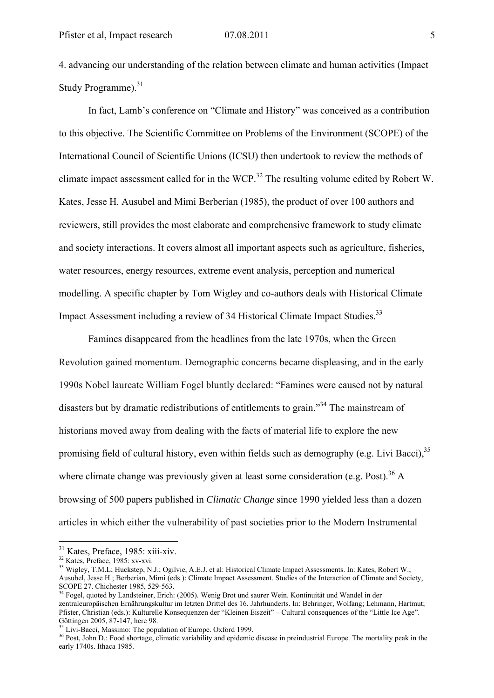4. advancing our understanding of the relation between climate and human activities (Impact Study Programme).<sup>31</sup>

In fact, Lamb's conference on "Climate and History" was conceived as a contribution to this objective. The Scientific Committee on Problems of the Environment (SCOPE) of the International Council of Scientific Unions (ICSU) then undertook to review the methods of climate impact assessment called for in the WCP.<sup>32</sup> The resulting volume edited by Robert W. Kates, Jesse H. Ausubel and Mimi Berberian (1985), the product of over 100 authors and reviewers, still provides the most elaborate and comprehensive framework to study climate and society interactions. It covers almost all important aspects such as agriculture, fisheries, water resources, energy resources, extreme event analysis, perception and numerical modelling. A specific chapter by Tom Wigley and co-authors deals with Historical Climate Impact Assessment including a review of 34 Historical Climate Impact Studies.<sup>33</sup>

Famines disappeared from the headlines from the late 1970s, when the Green Revolution gained momentum. Demographic concerns became displeasing, and in the early 1990s Nobel laureate William Fogel bluntly declared: "Famines were caused not by natural disasters but by dramatic redistributions of entitlements to grain.<sup>34</sup> The mainstream of historians moved away from dealing with the facts of material life to explore the new promising field of cultural history, even within fields such as demography (e.g. Livi Bacci),  $35$ where climate change was previously given at least some consideration (e.g. Post).<sup>36</sup> A browsing of 500 papers published in *Climatic Change* since 1990 yielded less than a dozen articles in which either the vulnerability of past societies prior to the Modern Instrumental

<u>.</u>

 $31 \text{ Kates}$ , Preface, 1985: xiii-xiv.<br> $32 \text{ Kates}$ , Preface, 1985: xv-xvi.

<sup>&</sup>lt;sup>32</sup> Kates, Preface, 1985: xv-xvi.<br><sup>33</sup> Wigley, T.M.L; Huckstep, N.J.; Ogilvie, A.E.J. et al: Historical Climate Impact Assessments. In: Kates, Robert W.; Ausubel, Jesse H.; Berberian, Mimi (eds.): Climate Impact Assessment. Studies of the Interaction of Climate and Society, SCOPE 27. Chichester 1985, 529-563.

<sup>&</sup>lt;sup>34</sup> Fogel, quoted by Landsteiner, Erich: (2005). Wenig Brot und saurer Wein. Kontinuität und Wandel in der zentraleuropäischen Ernährungskultur im letzten Drittel des 16. Jahrhunderts. In: Behringer, Wolfang; Lehmann, Hartmut; Pfister, Christian (eds.): Kulturelle Konsequenzen der "Kleinen Eiszeit" – Cultural consequences of the "Little Ice Age". Göttingen 2005, 87-147, here 98.<br><sup>35</sup> Livi-Bacci, Massimo: The population of Europe. Oxford 1999.

<sup>&</sup>lt;sup>36</sup> Post, John D.: Food shortage, climatic variability and epidemic disease in preindustrial Europe. The mortality peak in the early 1740s. Ithaca 1985.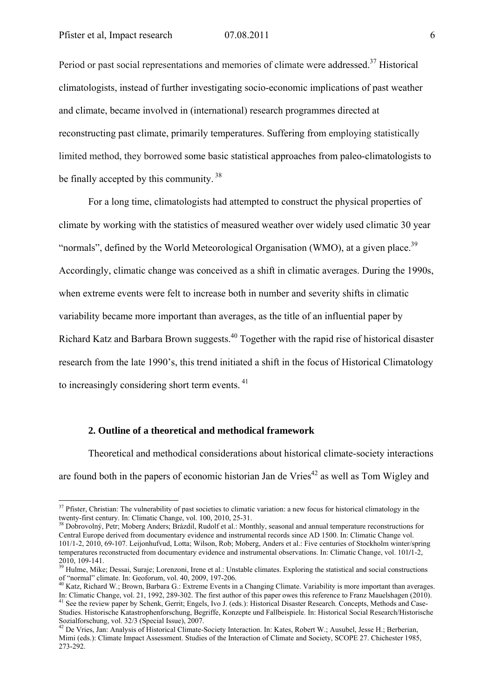Period or past social representations and memories of climate were addressed.<sup>37</sup> Historical climatologists, instead of further investigating socio-economic implications of past weather and climate, became involved in (international) research programmes directed at reconstructing past climate, primarily temperatures. Suffering from employing statistically limited method, they borrowed some basic statistical approaches from paleo-climatologists to be finally accepted by this community.<sup>38</sup>

For a long time, climatologists had attempted to construct the physical properties of climate by working with the statistics of measured weather over widely used climatic 30 year "normals", defined by the World Meteorological Organisation (WMO), at a given place.<sup>39</sup> Accordingly, climatic change was conceived as a shift in climatic averages. During the 1990s, when extreme events were felt to increase both in number and severity shifts in climatic variability became more important than averages, as the title of an influential paper by Richard Katz and Barbara Brown suggests.<sup>40</sup> Together with the rapid rise of historical disaster research from the late 1990's, this trend initiated a shift in the focus of Historical Climatology to increasingly considering short term events.<sup>41</sup>

# **2. Outline of a theoretical and methodical framework**

<u>.</u>

Theoretical and methodical considerations about historical climate-society interactions are found both in the papers of economic historian Jan de Vries $42$  as well as Tom Wigley and

 $37$  Pfister, Christian: The vulnerability of past societies to climatic variation: a new focus for historical climatology in the twenty-first century. In: Climatic Change, vol. 100, 2010, 25-31.<br><sup>38</sup> Dobrovolný, Petr; Moberg Anders; Brázdil, Rudolf et al.: Monthly, seasonal and annual temperature reconstructions for

Central Europe derived from documentary evidence and instrumental records since AD 1500. In: Climatic Change vol. 101/1-2, 2010, 69-107. Leijonhufvud, Lotta; Wilson, Rob; Moberg, Anders et al.: Five centuries of Stockholm winter/spring temperatures reconstructed from documentary evidence and instrumental observations. In: Climatic Change, vol. 101**/**1-2, 2010, 109-141.

<sup>&</sup>lt;sup>39</sup> Hulme, Mike; Dessai, Suraje; Lorenzoni, Irene et al.: Unstable climates. Exploring the statistical and social constructions of "normal" climate. In: Geoforum, vol.  $40$ , 2009, 197-206.

<sup>&</sup>lt;sup>40</sup> Katz, Richard W.; Brown, Barbara G.: Extreme Events in a Changing Climate. Variability is more important than averages.<br>In: Climatic Change. vol. 21, 1992, 289-302. The first author of this paper owes this reference <sup>41</sup> See the review paper by Schenk, Gerrit; Engels, Ivo J. (eds.): Historical Disaster Research. Concepts, Methods and Case-Studies. Historische Katastrophenforschung, Begriffe, Konzepte und Fallbeispiele. In: Historical Social Research/Historische Sozialforschung, vol. 32/3 (Special Issue), 2007.

 $42$  De Vries, Jan: Analysis of Historical Climate-Society Interaction. In: Kates, Robert W.; Ausubel, Jesse H.; Berberian, Mimi (eds.): Climate Impact Assessment. Studies of the Interaction of Climate and Society, SCOPE 27. Chichester 1985, 273-292.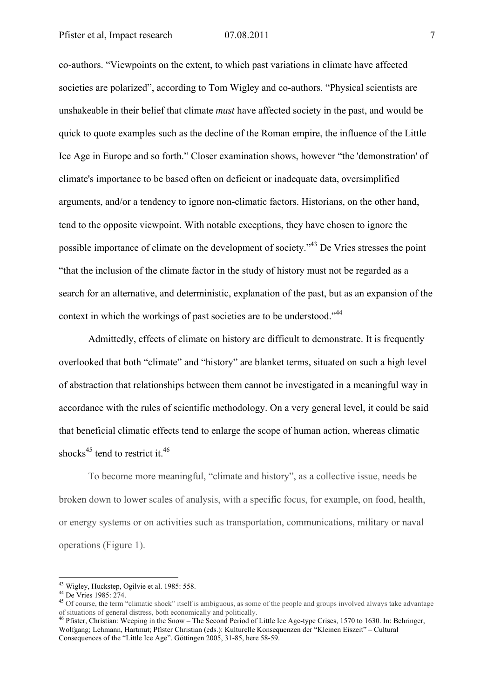co-authors. "Viewpoints on the extent, to which past variations in climate have affected societies are polarized", according to Tom Wigley and co-authors. "Physical scientists are unshakeable in their belief that climate *must* have affected society in the past, and would be quick to quote examples such as the decline of the Roman empire, the influence of the Little Ice Age in Europe and so forth." Closer examination shows, however "the 'demonstration' of climate's importance to be based often on deficient or inadequate data, oversimplified arguments, and/or a tendency to ignore non-climatic factors. Historians, on the other hand, tend to the opposite viewpoint. With notable exceptions, they have chosen to ignore the possible importance of climate on the development of society."43 De Vries stresses the point "that the inclusion of the climate factor in the study of history must not be regarded as a search for an alternative, and deterministic, explanation of the past, but as an expansion of the context in which the workings of past societies are to be understood."44

Admittedly, effects of climate on history are difficult to demonstrate. It is frequently overlooked that both "climate" and "history" are blanket terms, situated on such a high level of abstraction that relationships between them cannot be investigated in a meaningful way in accordance with the rules of scientific methodology. On a very general level, it could be said that beneficial climatic effects tend to enlarge the scope of human action, whereas climatic shocks<sup>45</sup> tend to restrict it.<sup>46</sup>

To become more meaningful, "climate and history", as a collective issue, needs be broken down to lower scales of analysis, with a specific focus, for example, on food, health, or energy systems or on activities such as transportation, communications, military or naval operations (Figure 1).

<sup>&</sup>lt;sup>43</sup> Wigley, Huckstep, Ogilvie et al. 1985: 558.

<sup>44</sup> De Vries 1985: 274.

<sup>&</sup>lt;sup>45</sup> Of course, the term "climatic shock" itself is ambiguous, as some of the people and groups involved always take advantage of situations of general distress, both economically and politically.

<sup>&</sup>lt;sup>46</sup> Pfister, Christian: Weeping in the Snow – The Second Period of Little Ice Age-type Crises, 1570 to 1630. In: Behringer, Wolfgang; Lehmann, Hartmut; Pfister Christian (eds.): Kulturelle Konsequenzen der "Kleinen Eiszeit" – Cultural Consequences of the "Little Ice Age". Göttingen 2005, 31-85, here 58-59.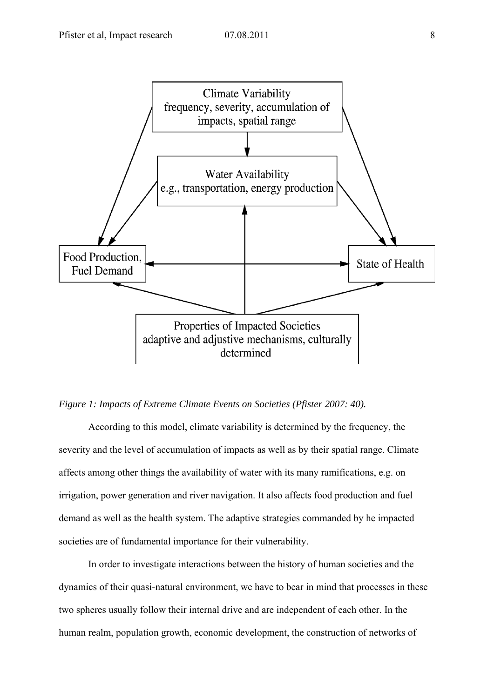

# *Figure 1: Impacts of Extreme Climate Events on Societies (Pfister 2007: 40).*

According to this model, climate variability is determined by the frequency, the severity and the level of accumulation of impacts as well as by their spatial range. Climate affects among other things the availability of water with its many ramifications, e.g. on irrigation, power generation and river navigation. It also affects food production and fuel demand as well as the health system. The adaptive strategies commanded by he impacted societies are of fundamental importance for their vulnerability.

In order to investigate interactions between the history of human societies and the dynamics of their quasi-natural environment, we have to bear in mind that processes in these two spheres usually follow their internal drive and are independent of each other. In the human realm, population growth, economic development, the construction of networks of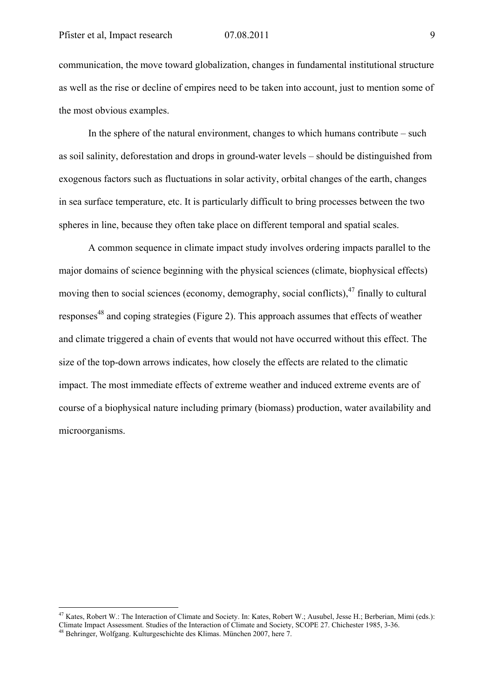communication, the move toward globalization, changes in fundamental institutional structure as well as the rise or decline of empires need to be taken into account, just to mention some of the most obvious examples.

In the sphere of the natural environment, changes to which humans contribute – such as soil salinity, deforestation and drops in ground-water levels – should be distinguished from exogenous factors such as fluctuations in solar activity, orbital changes of the earth, changes in sea surface temperature, etc. It is particularly difficult to bring processes between the two spheres in line, because they often take place on different temporal and spatial scales.

A common sequence in climate impact study involves ordering impacts parallel to the major domains of science beginning with the physical sciences (climate, biophysical effects) moving then to social sciences (economy, demography, social conflicts).<sup>47</sup> finally to cultural responses<sup>48</sup> and coping strategies (Figure 2). This approach assumes that effects of weather and climate triggered a chain of events that would not have occurred without this effect. The size of the top-down arrows indicates, how closely the effects are related to the climatic impact. The most immediate effects of extreme weather and induced extreme events are of course of a biophysical nature including primary (biomass) production, water availability and microorganisms.

<u>.</u>

<sup>&</sup>lt;sup>47</sup> Kates, Robert W.: The Interaction of Climate and Society. In: Kates, Robert W.; Ausubel, Jesse H.; Berberian, Mimi (eds.): Climate Impact Assessment. Studies of the Interaction of Climate and Society, SCOPE 27. Chichester 1985, 3-36. 48 Behringer, Wolfgang. Kulturgeschichte des Klimas. München 2007, here 7.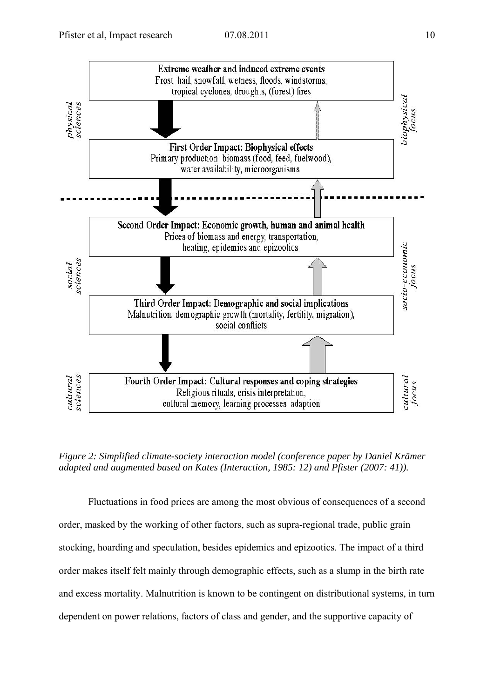

*Figure 2: Simplified climate-society interaction model (conference paper by Daniel Krämer adapted and augmented based on Kates (Interaction, 1985: 12) and Pfister (2007: 41)).* 

Fluctuations in food prices are among the most obvious of consequences of a second order, masked by the working of other factors, such as supra-regional trade, public grain stocking, hoarding and speculation, besides epidemics and epizootics. The impact of a third order makes itself felt mainly through demographic effects, such as a slump in the birth rate and excess mortality. Malnutrition is known to be contingent on distributional systems, in turn dependent on power relations, factors of class and gender, and the supportive capacity of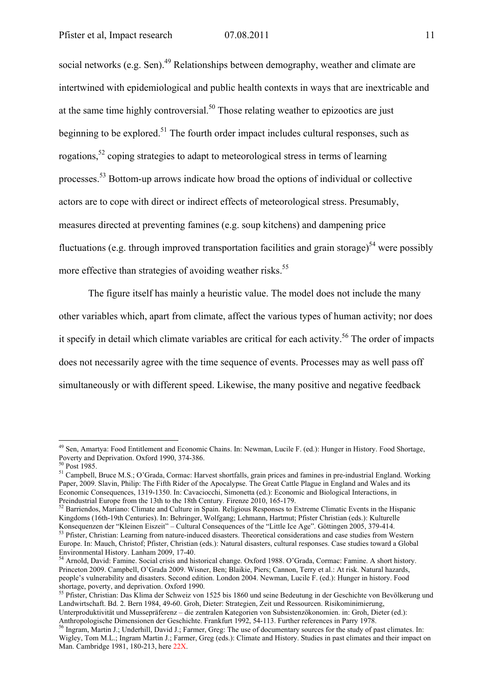social networks (e.g. Sen).<sup>49</sup> Relationships between demography, weather and climate are intertwined with epidemiological and public health contexts in ways that are inextricable and at the same time highly controversial.<sup>50</sup> Those relating weather to epizootics are just beginning to be explored.<sup>51</sup> The fourth order impact includes cultural responses, such as rogations,<sup>52</sup> coping strategies to adapt to meteorological stress in terms of learning processes.53 Bottom-up arrows indicate how broad the options of individual or collective actors are to cope with direct or indirect effects of meteorological stress. Presumably, measures directed at preventing famines (e.g. soup kitchens) and dampening price fluctuations (e.g. through improved transportation facilities and grain storage)<sup>54</sup> were possibly more effective than strategies of avoiding weather risks.<sup>55</sup>

The figure itself has mainly a heuristic value. The model does not include the many other variables which, apart from climate, affect the various types of human activity; nor does it specify in detail which climate variables are critical for each activity.<sup>56</sup> The order of impacts does not necessarily agree with the time sequence of events. Processes may as well pass off simultaneously or with different speed. Likewise, the many positive and negative feedback

<sup>&</sup>lt;sup>49</sup> Sen, Amartya: Food Entitlement and Economic Chains. In: Newman, Lucile F. (ed.): Hunger in History. Food Shortage, Poverty and Deprivation. Oxford 1990, 374-386.

 $50$  Post 1985.

<sup>51</sup> Campbell, Bruce M.S.; O'Grada, Cormac: Harvest shortfalls, grain prices and famines in pre-industrial England. Working Paper, 2009. Slavin, Philip: The Fifth Rider of the Apocalypse. The Great Cattle Plague in England and Wales and its Economic Consequences, 1319-1350. In: Cavaciocchi, Simonetta (ed.): Economic and Biological Interactions, in Preindustrial Europe from the 13th to the 18th Century. Firenze 2010, 165-179.<br><sup>52</sup> Barriendos, Mariano: Climate and Culture in Spain. Religious Responses to Extreme Climatic Events in the Hispanic

Kingdoms (16th-19th Centuries). In: Behringer, Wolfgang; Lehmann, Hartmut; Pfister Christian (eds.): Kulturelle<br>Konsequenzen der "Kleinen Eiszeit" – Cultural Consequences of the "Little Ice Age". Göttingen 2005, 379-414.

<sup>&</sup>lt;sup>53</sup> Pfister, Christian: Learning from nature-induced disasters. Theoretical considerations and case studies from Western Europe. In: Mauch, Christof; Pfister, Christian (eds.): Natural disasters, cultural responses. Case studies toward a Global Environmental History. Lanham 2009, 17-40.

<sup>54</sup> Arnold, David: Famine. Social crisis and historical change. Oxford 1988. O'Grada, Cormac: Famine. A short history. Princeton 2009. Campbell, O'Grada 2009. Wisner, Ben; Blaikie, Piers; Cannon, Terry et al.: At risk. Natural hazards, people's vulnerability and disasters. Second edition. London 2004. Newman, Lucile F. (ed.): Hunger in history. Food shortage, poverty, and deprivation. Oxford 1990.

<sup>&</sup>lt;sup>55</sup> Pfister, Christian: Das Klima der Schweiz von 1525 bis 1860 und seine Bedeutung in der Geschichte von Bevölkerung und Landwirtschaft. Bd. 2. Bern 1984, 49-60. Groh, Dieter: Strategien, Zeit und Ressourcen. Risikominimierung, Unterproduktivität und Mussepräferenz – die zentralen Kategorien von Subsistenzökonomien. in: Groh, Dieter (ed.):

Anthropologische Dimensionen der Geschichte. Frankfurt 1992, 54-113. Further references in Parry 1978.<br><sup>56</sup> Ingram, Martin J.; Underhill, David J.; Farmer, Greg: The use of documentary sources for the study of past climate

Wigley, Tom M.L.; Ingram Martin J.; Farmer, Greg (eds.): Climate and History. Studies in past climates and their impact on Man. Cambridge 1981, 180-213, here 22X.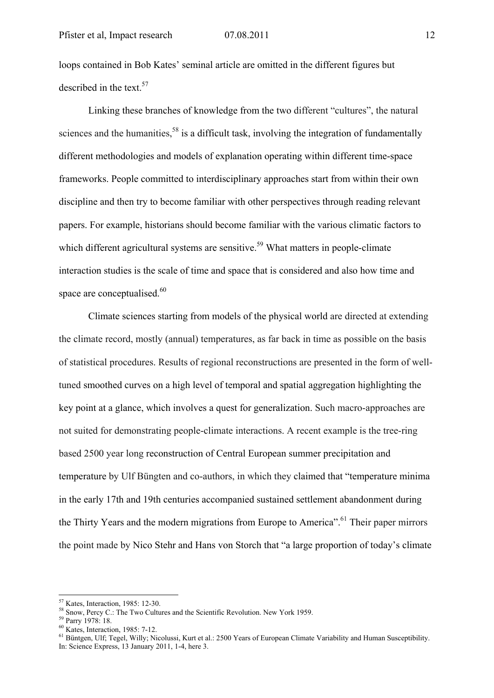loops contained in Bob Kates' seminal article are omitted in the different figures but described in the text.<sup>57</sup>

Linking these branches of knowledge from the two different "cultures", the natural sciences and the humanities,  $58$  is a difficult task, involving the integration of fundamentally different methodologies and models of explanation operating within different time-space frameworks. People committed to interdisciplinary approaches start from within their own discipline and then try to become familiar with other perspectives through reading relevant papers. For example, historians should become familiar with the various climatic factors to which different agricultural systems are sensitive.<sup>59</sup> What matters in people-climate interaction studies is the scale of time and space that is considered and also how time and space are conceptualised.<sup>60</sup>

Climate sciences starting from models of the physical world are directed at extending the climate record, mostly (annual) temperatures, as far back in time as possible on the basis of statistical procedures. Results of regional reconstructions are presented in the form of welltuned smoothed curves on a high level of temporal and spatial aggregation highlighting the key point at a glance, which involves a quest for generalization. Such macro-approaches are not suited for demonstrating people-climate interactions. A recent example is the tree-ring based 2500 year long reconstruction of Central European summer precipitation and temperature by Ulf Büngten and co-authors, in which they claimed that "temperature minima in the early 17th and 19th centuries accompanied sustained settlement abandonment during the Thirty Years and the modern migrations from Europe to America".<sup>61</sup> Their paper mirrors the point made by Nico Stehr and Hans von Storch that "a large proportion of today's climate

<sup>&</sup>lt;sup>57</sup> Kates. Interaction, 1985: 12-30.

<sup>&</sup>lt;sup>58</sup> Snow, Percy C.: The Two Cultures and the Scientific Revolution. New York 1959.<br><sup>59</sup> Parry 1978: 18.

<sup>60</sup> Kates, Interaction, 1985: 7-12.

<sup>&</sup>lt;sup>61</sup> Büntgen, Ulf; Tegel, Willy; Nicolussi, Kurt et al.: 2500 Years of European Climate Variability and Human Susceptibility. In: Science Express, 13 January 2011, 1-4, here 3.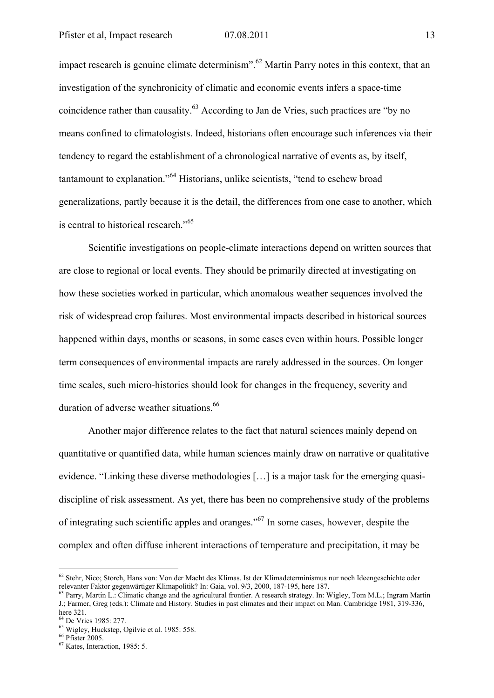impact research is genuine climate determinism".<sup>62</sup> Martin Parry notes in this context, that an investigation of the synchronicity of climatic and economic events infers a space-time coincidence rather than causality.<sup>63</sup> According to Jan de Vries, such practices are "by no means confined to climatologists. Indeed, historians often encourage such inferences via their tendency to regard the establishment of a chronological narrative of events as, by itself, tantamount to explanation."64 Historians, unlike scientists, "tend to eschew broad generalizations, partly because it is the detail, the differences from one case to another, which is central to historical research."<sup>65</sup>

Scientific investigations on people-climate interactions depend on written sources that are close to regional or local events. They should be primarily directed at investigating on how these societies worked in particular, which anomalous weather sequences involved the risk of widespread crop failures. Most environmental impacts described in historical sources happened within days, months or seasons, in some cases even within hours. Possible longer term consequences of environmental impacts are rarely addressed in the sources. On longer time scales, such micro-histories should look for changes in the frequency, severity and duration of adverse weather situations.<sup>66</sup>

Another major difference relates to the fact that natural sciences mainly depend on quantitative or quantified data, while human sciences mainly draw on narrative or qualitative evidence. "Linking these diverse methodologies […] is a major task for the emerging quasidiscipline of risk assessment. As yet, there has been no comprehensive study of the problems of integrating such scientific apples and oranges."<sup>67</sup> In some cases, however, despite the complex and often diffuse inherent interactions of temperature and precipitation, it may be

<sup>&</sup>lt;sup>62</sup> Stehr, Nico; Storch, Hans von: Von der Macht des Klimas. Ist der Klimadeterminismus nur noch Ideengeschichte oder relevanter Faktor gegenwärtiger Klimapolitik? In: Gaia. vol. 9/3. 2000. 187-195. here 187.

<sup>&</sup>lt;sup>63</sup> Parry, Martin L.: Climatic change and the agricultural frontier. A research strategy. In: Wigley, Tom M.L.; Ingram Martin J.; Farmer, Greg (eds.): Climate and History. Studies in past climates and their impact on Man. Cambridge 1981, 319-336, here 321.

<sup>64</sup> De Vries 1985: 277.

<sup>65</sup> Wigley, Huckstep, Ogilvie et al. 1985: 558.

<sup>66</sup> Pfister 2005.

<sup>67</sup> Kates, Interaction, 1985: 5.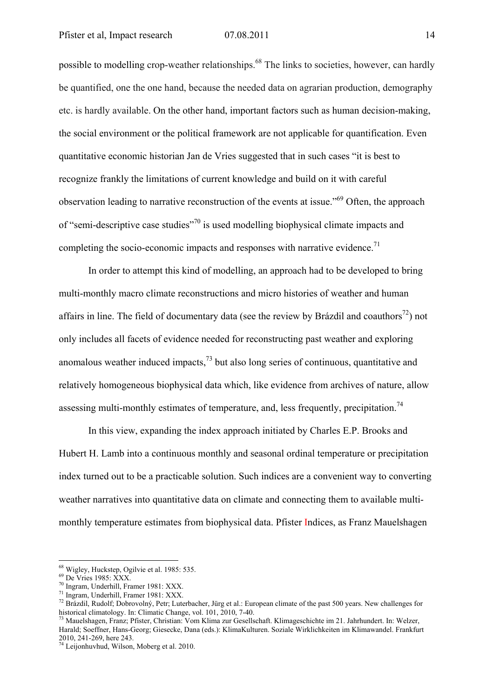possible to modelling crop-weather relationships.68 The links to societies, however, can hardly be quantified, one the one hand, because the needed data on agrarian production, demography etc. is hardly available. On the other hand, important factors such as human decision-making, the social environment or the political framework are not applicable for quantification. Even quantitative economic historian Jan de Vries suggested that in such cases "it is best to recognize frankly the limitations of current knowledge and build on it with careful observation leading to narrative reconstruction of the events at issue."69 Often, the approach of "semi-descriptive case studies"70 is used modelling biophysical climate impacts and completing the socio-economic impacts and responses with narrative evidence.<sup>71</sup>

In order to attempt this kind of modelling, an approach had to be developed to bring multi-monthly macro climate reconstructions and micro histories of weather and human affairs in line. The field of documentary data (see the review by Brázdil and coauthors<sup>72</sup>) not only includes all facets of evidence needed for reconstructing past weather and exploring anomalous weather induced impacts, $^{73}$  but also long series of continuous, quantitative and relatively homogeneous biophysical data which, like evidence from archives of nature, allow assessing multi-monthly estimates of temperature, and, less frequently, precipitation.<sup>74</sup>

In this view, expanding the index approach initiated by Charles E.P. Brooks and Hubert H. Lamb into a continuous monthly and seasonal ordinal temperature or precipitation index turned out to be a practicable solution. Such indices are a convenient way to converting weather narratives into quantitative data on climate and connecting them to available multimonthly temperature estimates from biophysical data. Pfister Indices, as Franz Mauelshagen

<sup>68</sup> Wigley, Huckstep, Ogilvie et al. 1985: 535.

<sup>69</sup> De Vries 1985: XXX.

<sup>70</sup> Ingram, Underhill, Framer 1981: XXX.

<sup>71</sup> Ingram, Underhill, Framer 1981: XXX.

<sup>&</sup>lt;sup>72</sup> Brázdil, Rudolf; Dobrovolný, Petr; Luterbacher, Jürg et al.: European climate of the past 500 years. New challenges for historical climatology. In: Climatic Change, vol. 101, 2010, 7-40.

<sup>&</sup>lt;sup>73</sup> Mauelshagen, Franz; Pfister, Christian: Vom Klima zur Gesellschaft. Klimageschichte im 21. Jahrhundert. In: Welzer, Harald; Soeffner, Hans-Georg; Giesecke, Dana (eds.): KlimaKulturen. Soziale Wirklichkeiten im Klimawandel. Frankfurt 2010, 241-269, here 243.

<sup>74</sup> Leijonhuvhud, Wilson, Moberg et al. 2010.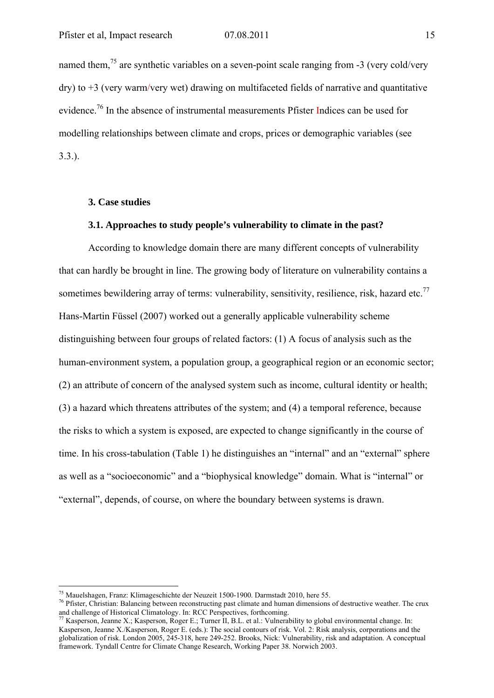named them,  $^{75}$  are synthetic variables on a seven-point scale ranging from -3 (very cold/very dry) to +3 (very warm/very wet) drawing on multifaceted fields of narrative and quantitative evidence.<sup>76</sup> In the absence of instrumental measurements Pfister Indices can be used for modelling relationships between climate and crops, prices or demographic variables (see 3.3.).

### **3. Case studies**

# **3.1. Approaches to study people's vulnerability to climate in the past?**

According to knowledge domain there are many different concepts of vulnerability that can hardly be brought in line. The growing body of literature on vulnerability contains a sometimes bewildering array of terms: vulnerability, sensitivity, resilience, risk, hazard etc.<sup>77</sup> Hans-Martin Füssel (2007) worked out a generally applicable vulnerability scheme distinguishing between four groups of related factors: (1) A focus of analysis such as the human-environment system, a population group, a geographical region or an economic sector; (2) an attribute of concern of the analysed system such as income, cultural identity or health; (3) a hazard which threatens attributes of the system; and (4) a temporal reference, because the risks to which a system is exposed, are expected to change significantly in the course of time. In his cross-tabulation (Table 1) he distinguishes an "internal" and an "external" sphere as well as a "socioeconomic" and a "biophysical knowledge" domain. What is "internal" or "external", depends, of course, on where the boundary between systems is drawn.

<sup>&</sup>lt;sup>75</sup> Mauelshagen, Franz: Klimageschichte der Neuzeit 1500-1900. Darmstadt 2010, here 55.

 $^{76}$  Pfister, Christian: Balancing between reconstructing past climate and human dimensions of destructive weather. The crux and challenge of Historical Climatology. In: RCC Perspectives, forthcoming.

<sup>&</sup>lt;sup>77</sup> Kasperson, Jeanne X.; Kasperson, Roger E.; Turner II, B.L. et al.: Vulnerability to global environmental change. In: Kasperson, Jeanne X./Kasperson, Roger E. (eds.): The social contours of risk. Vol. 2: Risk analysis, corporations and the globalization of risk. London 2005, 245-318, here 249-252. Brooks, Nick: Vulnerability, risk and adaptation. A conceptual framework. Tyndall Centre for Climate Change Research, Working Paper 38. Norwich 2003.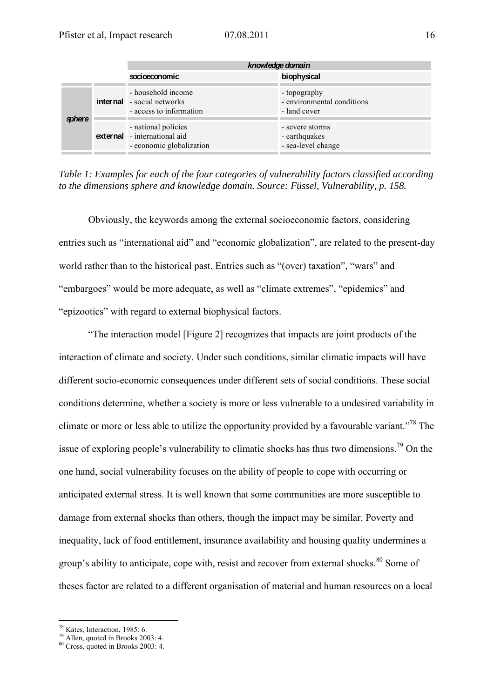|        | knowledge domain                                                                   |                                                            |  |  |  |  |
|--------|------------------------------------------------------------------------------------|------------------------------------------------------------|--|--|--|--|
|        | socioeconomic                                                                      | biophysical                                                |  |  |  |  |
| sphere | - household income<br><b>internal</b> - social networks<br>- access to information | - topography<br>- environmental conditions<br>- land cover |  |  |  |  |
|        | - national policies<br>external - international aid<br>- economic globalization    | - severe storms<br>- earthquakes<br>- sea-level change     |  |  |  |  |
|        |                                                                                    |                                                            |  |  |  |  |

|  |  |  |  | Table 1: Examples for each of the four categories of vulnerability factors classified according |  |
|--|--|--|--|-------------------------------------------------------------------------------------------------|--|
|  |  |  |  | to the dimensions sphere and knowledge domain. Source: Füssel, Vulnerability, p. 158.           |  |

Obviously, the keywords among the external socioeconomic factors, considering entries such as "international aid" and "economic globalization", are related to the present-day world rather than to the historical past. Entries such as "(over) taxation", "wars" and "embargoes" would be more adequate, as well as "climate extremes", "epidemics" and "epizootics" with regard to external biophysical factors.

"The interaction model [Figure 2] recognizes that impacts are joint products of the interaction of climate and society. Under such conditions, similar climatic impacts will have different socio-economic consequences under different sets of social conditions. These social conditions determine, whether a society is more or less vulnerable to a undesired variability in climate or more or less able to utilize the opportunity provided by a favourable variant."78 The issue of exploring people's vulnerability to climatic shocks has thus two dimensions.<sup>79</sup> On the one hand, social vulnerability focuses on the ability of people to cope with occurring or anticipated external stress. It is well known that some communities are more susceptible to damage from external shocks than others, though the impact may be similar. Poverty and inequality, lack of food entitlement, insurance availability and housing quality undermines a group's ability to anticipate, cope with, resist and recover from external shocks.<sup>80</sup> Some of theses factor are related to a different organisation of material and human resources on a local

<sup>1</sup> 78 Kates, Interaction, 1985: 6.

 $79$  Allen, quoted in Brooks 2003: 4.

<sup>80</sup> Cross, quoted in Brooks 2003: 4.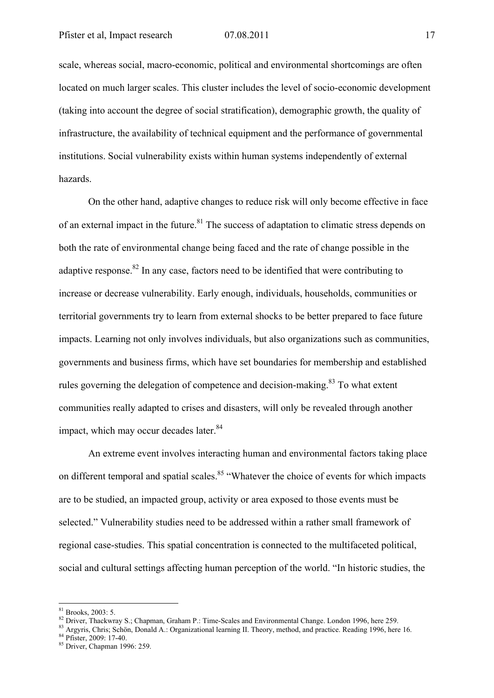scale, whereas social, macro-economic, political and environmental shortcomings are often located on much larger scales. This cluster includes the level of socio-economic development (taking into account the degree of social stratification), demographic growth, the quality of infrastructure, the availability of technical equipment and the performance of governmental institutions. Social vulnerability exists within human systems independently of external hazards.

On the other hand, adaptive changes to reduce risk will only become effective in face of an external impact in the future.<sup>81</sup> The success of adaptation to climatic stress depends on both the rate of environmental change being faced and the rate of change possible in the adaptive response.<sup>82</sup> In any case, factors need to be identified that were contributing to increase or decrease vulnerability. Early enough, individuals, households, communities or territorial governments try to learn from external shocks to be better prepared to face future impacts. Learning not only involves individuals, but also organizations such as communities, governments and business firms, which have set boundaries for membership and established rules governing the delegation of competence and decision-making.<sup>83</sup> To what extent communities really adapted to crises and disasters, will only be revealed through another impact, which may occur decades later.<sup>84</sup>

An extreme event involves interacting human and environmental factors taking place on different temporal and spatial scales.<sup>85</sup> "Whatever the choice of events for which impacts are to be studied, an impacted group, activity or area exposed to those events must be selected." Vulnerability studies need to be addressed within a rather small framework of regional case-studies. This spatial concentration is connected to the multifaceted political, social and cultural settings affecting human perception of the world. "In historic studies, the

 $81$  Brooks, 2003: 5.

<sup>&</sup>lt;sup>82</sup> Driver, Thackwray S.; Chapman, Graham P.: Time-Scales and Environmental Change. London 1996, here 259.<br><sup>83</sup> Argyris, Chris; Schön, Donald A.: Organizational learning II. Theory, method, and practice. Reading 1996, he

<sup>85</sup> Driver, Chapman 1996: 259.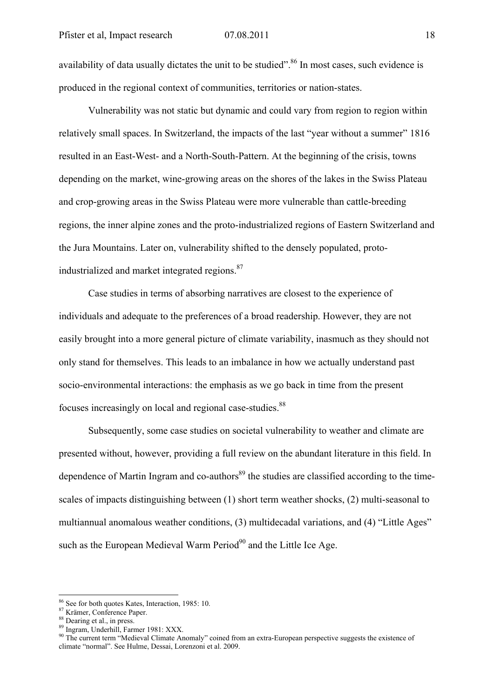availability of data usually dictates the unit to be studied".<sup>86</sup> In most cases, such evidence is produced in the regional context of communities, territories or nation-states.

Vulnerability was not static but dynamic and could vary from region to region within relatively small spaces. In Switzerland, the impacts of the last "year without a summer" 1816 resulted in an East-West- and a North-South-Pattern. At the beginning of the crisis, towns depending on the market, wine-growing areas on the shores of the lakes in the Swiss Plateau and crop-growing areas in the Swiss Plateau were more vulnerable than cattle-breeding regions, the inner alpine zones and the proto-industrialized regions of Eastern Switzerland and the Jura Mountains. Later on, vulnerability shifted to the densely populated, protoindustrialized and market integrated regions.<sup>87</sup>

Case studies in terms of absorbing narratives are closest to the experience of individuals and adequate to the preferences of a broad readership. However, they are not easily brought into a more general picture of climate variability, inasmuch as they should not only stand for themselves. This leads to an imbalance in how we actually understand past socio-environmental interactions: the emphasis as we go back in time from the present focuses increasingly on local and regional case-studies.<sup>88</sup>

Subsequently, some case studies on societal vulnerability to weather and climate are presented without, however, providing a full review on the abundant literature in this field. In dependence of Martin Ingram and co-authors<sup>89</sup> the studies are classified according to the timescales of impacts distinguishing between (1) short term weather shocks, (2) multi-seasonal to multiannual anomalous weather conditions, (3) multidecadal variations, and (4) "Little Ages" such as the European Medieval Warm Period $90$  and the Little Ice Age.

<sup>86</sup> See for both quotes Kates, Interaction, 1985: 10.

<sup>87</sup> Krämer, Conference Paper.

<sup>88</sup> Dearing et al., in press.

<sup>89</sup> Ingram, Underhill, Farmer 1981: XXX.

<sup>&</sup>lt;sup>90</sup> The current term "Medieval Climate Anomaly" coined from an extra-European perspective suggests the existence of climate "normal". See Hulme, Dessai, Lorenzoni et al. 2009.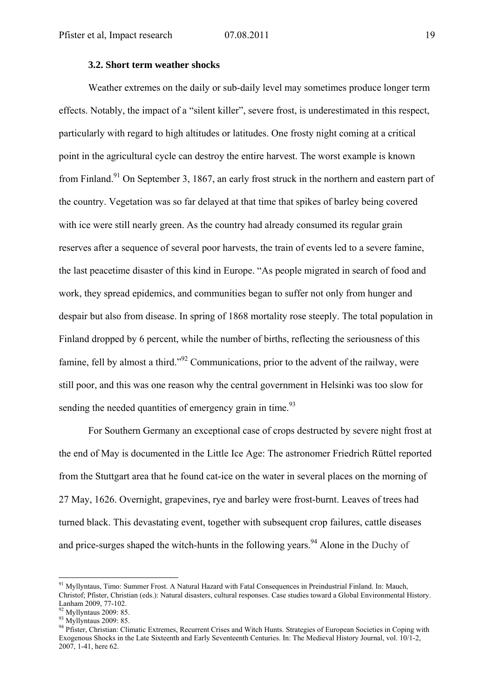### **3.2. Short term weather shocks**

Weather extremes on the daily or sub-daily level may sometimes produce longer term effects. Notably, the impact of a "silent killer", severe frost, is underestimated in this respect, particularly with regard to high altitudes or latitudes. One frosty night coming at a critical point in the agricultural cycle can destroy the entire harvest. The worst example is known from Finland.<sup>91</sup> On September 3, 1867, an early frost struck in the northern and eastern part of the country. Vegetation was so far delayed at that time that spikes of barley being covered with ice were still nearly green. As the country had already consumed its regular grain reserves after a sequence of several poor harvests, the train of events led to a severe famine, the last peacetime disaster of this kind in Europe. "As people migrated in search of food and work, they spread epidemics, and communities began to suffer not only from hunger and despair but also from disease. In spring of 1868 mortality rose steeply. The total population in Finland dropped by 6 percent, while the number of births, reflecting the seriousness of this famine, fell by almost a third."<sup>92</sup> Communications, prior to the advent of the railway, were still poor, and this was one reason why the central government in Helsinki was too slow for sending the needed quantities of emergency grain in time.  $93$ 

For Southern Germany an exceptional case of crops destructed by severe night frost at the end of May is documented in the Little Ice Age: The astronomer Friedrich Rüttel reported from the Stuttgart area that he found cat-ice on the water in several places on the morning of 27 May, 1626. Overnight, grapevines, rye and barley were frost-burnt. Leaves of trees had turned black. This devastating event, together with subsequent crop failures, cattle diseases and price-surges shaped the witch-hunts in the following years.<sup>94</sup> Alone in the Duchy of

<sup>&</sup>lt;sup>91</sup> Myllyntaus, Timo: Summer Frost. A Natural Hazard with Fatal Consequences in Preindustrial Finland. In: Mauch, Christof; Pfister, Christian (eds.): Natural disasters, cultural responses. Case studies toward a Global Environmental History.

 $92$  Myllyntaus 2009: 85.

<sup>93</sup> Myllyntaus 2009: 85.

<sup>94</sup> Pfister, Christian: Climatic Extremes, Recurrent Crises and Witch Hunts. Strategies of European Societies in Coping with Exogenous Shocks in the Late Sixteenth and Early Seventeenth Centuries. In: The Medieval History Journal, vol. 10/1-2, 2007, 1-41, here 62.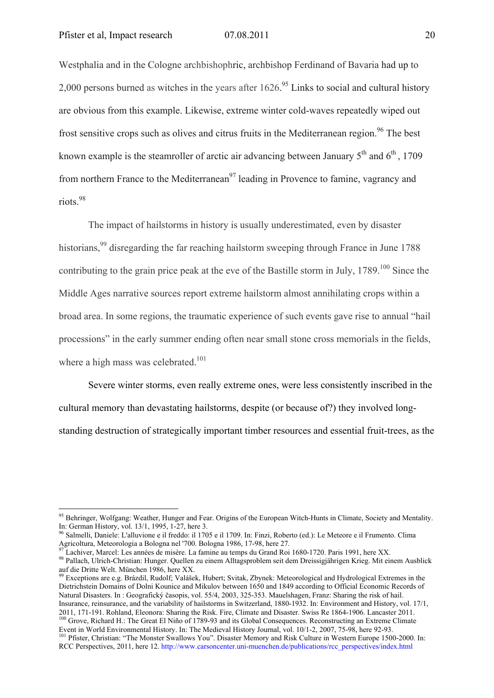1

Westphalia and in the Cologne archbishophric, archbishop Ferdinand of Bavaria had up to 2,000 persons burned as witches in the years after 1626.<sup>95</sup> Links to social and cultural history are obvious from this example. Likewise, extreme winter cold-waves repeatedly wiped out frost sensitive crops such as olives and citrus fruits in the Mediterranean region.<sup>96</sup> The best known example is the steamroller of arctic air advancing between January  $5<sup>th</sup>$  and  $6<sup>th</sup>$ , 1709 from northern France to the Mediterranean<sup>97</sup> leading in Provence to famine, vagrancy and riots.98

The impact of hailstorms in history is usually underestimated, even by disaster historians,<sup>99</sup> disregarding the far reaching hailstorm sweeping through France in June 1788 contributing to the grain price peak at the eve of the Bastille storm in July, 1789.<sup>100</sup> Since the Middle Ages narrative sources report extreme hailstorm almost annihilating crops within a broad area. In some regions, the traumatic experience of such events gave rise to annual "hail processions" in the early summer ending often near small stone cross memorials in the fields, where a high mass was celebrated.<sup>101</sup>

Severe winter storms, even really extreme ones, were less consistently inscribed in the cultural memory than devastating hailstorms, despite (or because of?) they involved longstanding destruction of strategically important timber resources and essential fruit-trees, as the

Dietrichstein Domains of Dolni Kounice and Mikulov between 1650 and 1849 according to Official Economic Records of Natural Disasters. In : Geografický časopis, vol. 55/4, 2003, 325-353. Mauelshagen, Franz: Sharing the risk of hail. Insurance, reinsurance, and the variability of hailstorms in Switzerland, 1880-1932. In: Environment and History, vol. 17/1, <sup>100</sup> Grove, Richard H.: The Great El Niño of 1789-93 and its Global Consequences. Reconstructing an Extreme Climate

Event in World Environmental History. In: The Medieval History Journal, vol. 10/1-2, 2007, 75-98, here 92-93.<br><sup>101</sup> Pfister, Christian: "The Monster Swallows You". Disaster Memory and Risk Culture in Western Europe 1500-20 RCC Perspectives, 2011, here 12. http://www.carsoncenter.uni-muenchen.de/publications/rcc\_perspectives/index.html

<sup>&</sup>lt;sup>95</sup> Behringer, Wolfgang: Weather, Hunger and Fear. Origins of the European Witch-Hunts in Climate, Society and Mentality. In: German History, vol. 13/1, 1995, 1-27, here 3.

<sup>96</sup> Salmelli, Daniele: L'alluvione e il freddo: il 1705 e il 1709. In: Finzi, Roberto (ed.): Le Meteore e il Frumento. Clima Agricoltura, Meteorologia a Bologna nel '700. Bologna 1986, 17-98, here 27.<br><sup>97</sup> Lachiver, Marcel: Les années de misère. La famine au temps du Grand Roi 1680-1720. Paris 1991, here XX.<br><sup>98</sup> Pallach, Ulrich-Christian: Hunge

auf die Dritte Welt. München 1986, here XX.<br><sup>99</sup> Exceptions are e.g. Brázdil, Rudolf; Valášek, Hubert; Svitak, Zbynek: Meteorological and Hydrological Extremes in the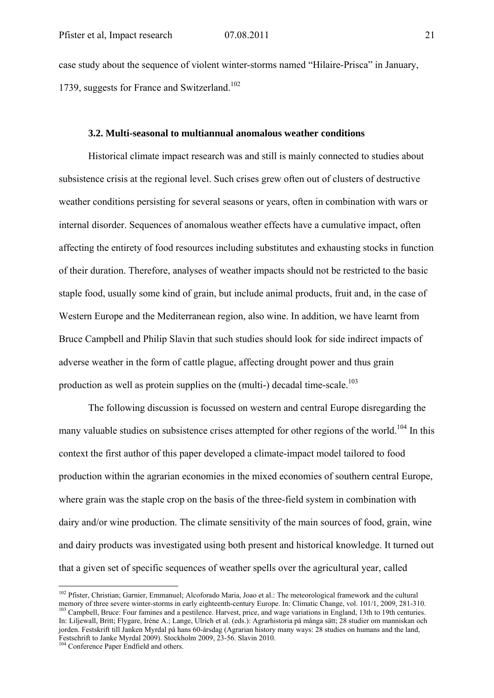case study about the sequence of violent winter-storms named "Hilaire-Prisca" in January, 1739, suggests for France and Switzerland.<sup>102</sup>

### **3.2. Multi-seasonal to multiannual anomalous weather conditions**

Historical climate impact research was and still is mainly connected to studies about subsistence crisis at the regional level. Such crises grew often out of clusters of destructive weather conditions persisting for several seasons or years, often in combination with wars or internal disorder. Sequences of anomalous weather effects have a cumulative impact, often affecting the entirety of food resources including substitutes and exhausting stocks in function of their duration. Therefore, analyses of weather impacts should not be restricted to the basic staple food, usually some kind of grain, but include animal products, fruit and, in the case of Western Europe and the Mediterranean region, also wine. In addition, we have learnt from Bruce Campbell and Philip Slavin that such studies should look for side indirect impacts of adverse weather in the form of cattle plague, affecting drought power and thus grain production as well as protein supplies on the (multi-) decadal time-scale.<sup>103</sup>

The following discussion is focussed on western and central Europe disregarding the many valuable studies on subsistence crises attempted for other regions of the world.<sup>104</sup> In this context the first author of this paper developed a climate-impact model tailored to food production within the agrarian economies in the mixed economies of southern central Europe, where grain was the staple crop on the basis of the three-field system in combination with dairy and/or wine production. The climate sensitivity of the main sources of food, grain, wine and dairy products was investigated using both present and historical knowledge. It turned out that a given set of specific sequences of weather spells over the agricultural year, called

<u>.</u>

<sup>&</sup>lt;sup>102</sup> Pfister, Christian; Garnier, Emmanuel; Alcoforado Maria, Joao et al.: The meteorological framework and the cultural memory of three severe winter-storms in early eighteenth-century Europe. In: Climatic Change, vol. 101/1, 2009, 281-310.<br><sup>103</sup> Campbell, Bruce: Four famines and a pestilence. Harvest, price, and wage variations in England, In: Liljewall, Britt; Flygare, Iréne A.; Lange, Ulrich et al. (eds.): Agrarhistoria på många sätt; 28 studier om manniskan och jorden. Festskrift till Janken Myrdal på hans 60-årsdag (Agrarian history many ways: 28 studies on humans and the land, Festschrift to Janke Myrdal 2009). Stockholm 2009, 23-56. Slavin 2010.

<sup>&</sup>lt;sup>104</sup> Conference Paper Endfield and others.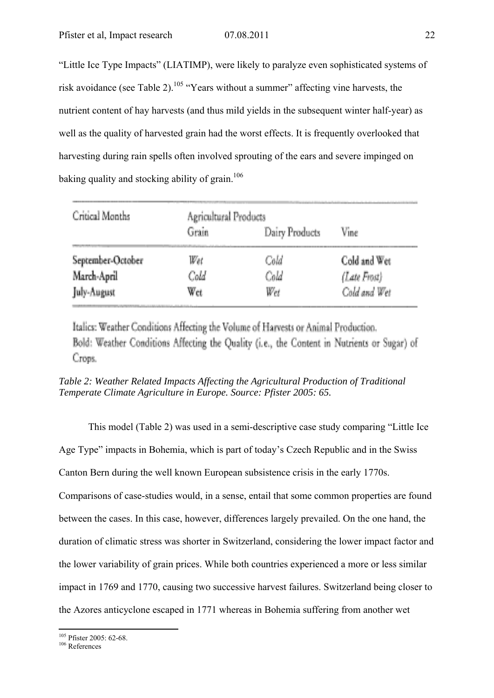"Little Ice Type Impacts" (LIATIMP), were likely to paralyze even sophisticated systems of risk avoidance (see Table 2).<sup>105</sup> "Years without a summer" affecting vine harvests, the nutrient content of hay harvests (and thus mild yields in the subsequent winter half-year) as well as the quality of harvested grain had the worst effects. It is frequently overlooked that harvesting during rain spells often involved sprouting of the ears and severe impinged on baking quality and stocking ability of grain.<sup>106</sup>

| Critical Months   | Agricultural Products |                |              |  |  |
|-------------------|-----------------------|----------------|--------------|--|--|
|                   | Grain                 | Dairy Products | Vine         |  |  |
| September-October | Wet                   | Cold           | Cold and Wet |  |  |
| March-April       | Cold                  | Cold           | (Late Frost) |  |  |
| July-August       | Wet                   | Wet            | Cold and Wet |  |  |

Italics: Weather Conditions Affecting the Volume of Harvests or Animal Production. Bold: Weather Conditions Affecting the Quality (i.e., the Content in Nutrients or Sugar) of Crops.

*Table 2: Weather Related Impacts Affecting the Agricultural Production of Traditional Temperate Climate Agriculture in Europe. Source: Pfister 2005: 65.* 

This model (Table 2) was used in a semi-descriptive case study comparing "Little Ice Age Type" impacts in Bohemia, which is part of today's Czech Republic and in the Swiss Canton Bern during the well known European subsistence crisis in the early 1770s. Comparisons of case-studies would, in a sense, entail that some common properties are found between the cases. In this case, however, differences largely prevailed. On the one hand, the duration of climatic stress was shorter in Switzerland, considering the lower impact factor and the lower variability of grain prices. While both countries experienced a more or less similar impact in 1769 and 1770, causing two successive harvest failures. Switzerland being closer to the Azores anticyclone escaped in 1771 whereas in Bohemia suffering from another wet

<sup>&</sup>lt;u>.</u>  $^{105}_{106}$  Pfister 2005: 62-68.<br> $^{106}_{106}$  References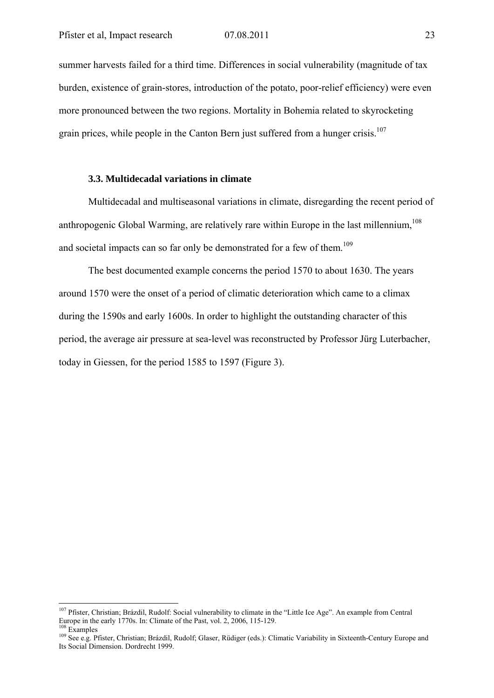summer harvests failed for a third time. Differences in social vulnerability (magnitude of tax burden, existence of grain-stores, introduction of the potato, poor-relief efficiency) were even more pronounced between the two regions. Mortality in Bohemia related to skyrocketing grain prices, while people in the Canton Bern just suffered from a hunger crisis.<sup>107</sup>

## **3.3. Multidecadal variations in climate**

Multidecadal and multiseasonal variations in climate, disregarding the recent period of anthropogenic Global Warming, are relatively rare within Europe in the last millennium,  $^{108}$ and societal impacts can so far only be demonstrated for a few of them.<sup>109</sup>

The best documented example concerns the period 1570 to about 1630. The years around 1570 were the onset of a period of climatic deterioration which came to a climax during the 1590s and early 1600s. In order to highlight the outstanding character of this period, the average air pressure at sea-level was reconstructed by Professor Jürg Luterbacher, today in Giessen, for the period 1585 to 1597 (Figure 3).

<sup>&</sup>lt;sup>107</sup> Pfister, Christian; Brázdil, Rudolf: Social vulnerability to climate in the "Little Ice Age". An example from Central Europe in the early 1770s. In: Climate of the Past, vol. 2, 2006, 115-129.<br><sup>108</sup> Examples<br><sup>109</sup> See e.g. Pfister, Christian; Brázdil, Rudolf; Glaser, Rüdiger (eds.): Climatic Variability in Sixteenth-Century Europe and

Its Social Dimension. Dordrecht 1999.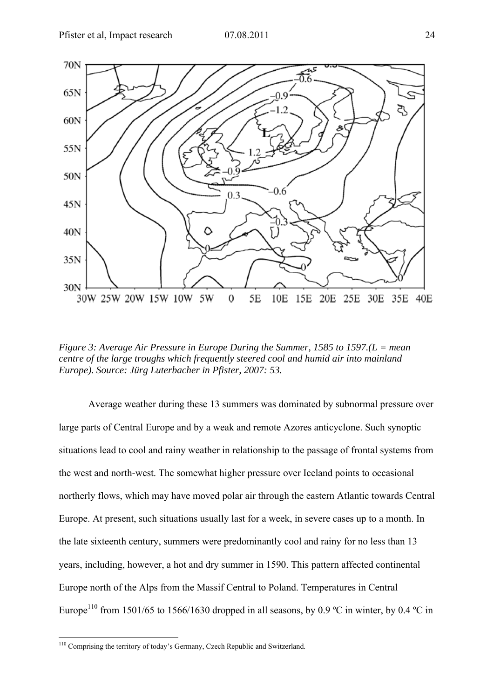

*Figure 3: Average Air Pressure in Europe During the Summer, 1585 to 1597.(L = mean centre of the large troughs which frequently steered cool and humid air into mainland Europe). Source: Jürg Luterbacher in Pfister, 2007: 53.* 

Average weather during these 13 summers was dominated by subnormal pressure over large parts of Central Europe and by a weak and remote Azores anticyclone. Such synoptic situations lead to cool and rainy weather in relationship to the passage of frontal systems from the west and north-west. The somewhat higher pressure over Iceland points to occasional northerly flows, which may have moved polar air through the eastern Atlantic towards Central Europe. At present, such situations usually last for a week, in severe cases up to a month. In the late sixteenth century, summers were predominantly cool and rainy for no less than 13 years, including, however, a hot and dry summer in 1590. This pattern affected continental Europe north of the Alps from the Massif Central to Poland. Temperatures in Central Europe<sup>110</sup> from 1501/65 to 1566/1630 dropped in all seasons, by 0.9 °C in winter, by 0.4 °C in

<sup>&</sup>lt;sup>110</sup> Comprising the territory of today's Germany, Czech Republic and Switzerland.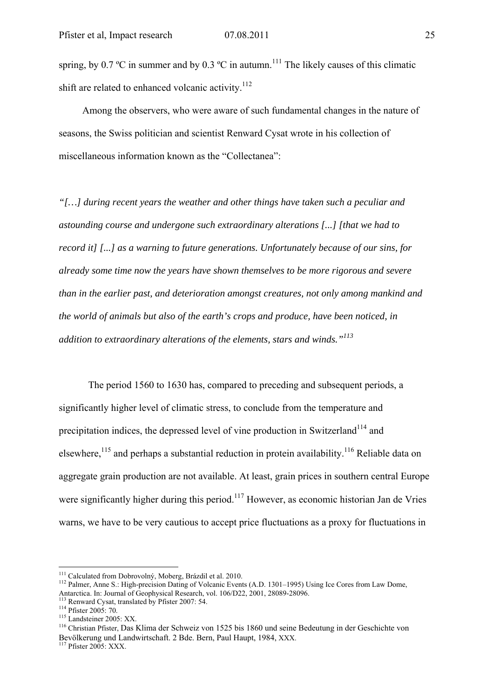spring, by 0.7 °C in summer and by 0.3 °C in autumn.<sup>111</sup> The likely causes of this climatic shift are related to enhanced volcanic activity.<sup>112</sup>

Among the observers, who were aware of such fundamental changes in the nature of seasons, the Swiss politician and scientist Renward Cysat wrote in his collection of miscellaneous information known as the "Collectanea":

*"[…] during recent years the weather and other things have taken such a peculiar and astounding course and undergone such extraordinary alterations [...] [that we had to record it] [...] as a warning to future generations. Unfortunately because of our sins, for already some time now the years have shown themselves to be more rigorous and severe than in the earlier past, and deterioration amongst creatures, not only among mankind and the world of animals but also of the earth's crops and produce, have been noticed, in addition to extraordinary alterations of the elements, stars and winds."113*

The period 1560 to 1630 has, compared to preceding and subsequent periods, a significantly higher level of climatic stress, to conclude from the temperature and precipitation indices, the depressed level of vine production in Switzerland<sup>114</sup> and elsewhere,<sup>115</sup> and perhaps a substantial reduction in protein availability.<sup>116</sup> Reliable data on aggregate grain production are not available. At least, grain prices in southern central Europe were significantly higher during this period.<sup>117</sup> However, as economic historian Jan de Vries warns, we have to be very cautious to accept price fluctuations as a proxy for fluctuations in

<sup>&</sup>lt;sup>111</sup> Calculated from Dobrovolný, Moberg, Brázdil et al. 2010.

<sup>&</sup>lt;sup>112</sup> Palmer, Anne S.: High-precision Dating of Volcanic Events (A.D. 1301–1995) Using Ice Cores from Law Dome,<br>Antarctica. In: Journal of Geophysical Research, vol. 106/D22, 2001, 28089-28096.

<sup>&</sup>lt;sup>113</sup> Renward Cysat, translated by Pfister 2007: 54.<br>
<sup>114</sup> Pfister 2005: 70.<br>
<sup>115</sup> Landsteiner 2005: XX.<br>
<sup>116</sup> Christian Pfister, Das Klima der Schweiz von 1525 bis 1860 und seine Bedeutung in der Geschichte von Bevölkerung und Landwirtschaft. 2 Bde. Bern, Paul Haupt, 1984, XXX. 117 Pfister 2005: XXX.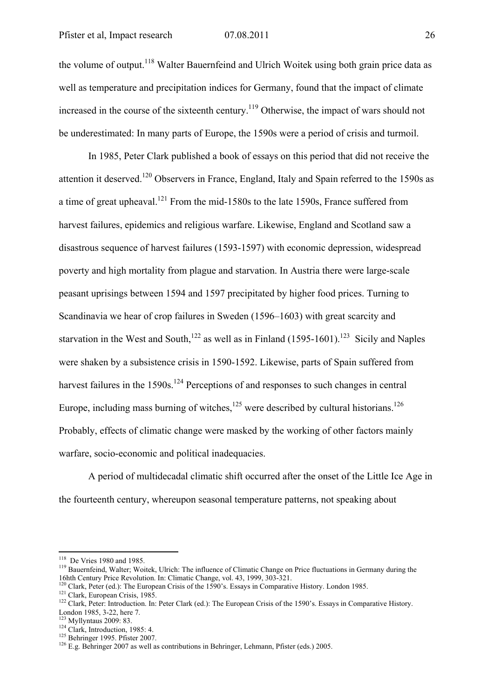the volume of output.<sup>118</sup> Walter Bauernfeind and Ulrich Woitek using both grain price data as well as temperature and precipitation indices for Germany, found that the impact of climate increased in the course of the sixteenth century.<sup>119</sup> Otherwise, the impact of wars should not be underestimated: In many parts of Europe, the 1590s were a period of crisis and turmoil.

In 1985, Peter Clark published a book of essays on this period that did not receive the attention it deserved.<sup>120</sup> Observers in France, England, Italy and Spain referred to the 1590s as a time of great upheaval.<sup>121</sup> From the mid-1580s to the late 1590s, France suffered from harvest failures, epidemics and religious warfare. Likewise, England and Scotland saw a disastrous sequence of harvest failures (1593-1597) with economic depression, widespread poverty and high mortality from plague and starvation. In Austria there were large-scale peasant uprisings between 1594 and 1597 precipitated by higher food prices. Turning to Scandinavia we hear of crop failures in Sweden (1596–1603) with great scarcity and starvation in the West and South,<sup>122</sup> as well as in Finland (1595-1601).<sup>123</sup> Sicily and Naples were shaken by a subsistence crisis in 1590-1592. Likewise, parts of Spain suffered from harvest failures in the  $1590s$ .<sup>124</sup> Perceptions of and responses to such changes in central Europe, including mass burning of witches.<sup>125</sup> were described by cultural historians.<sup>126</sup> Probably, effects of climatic change were masked by the working of other factors mainly warfare, socio-economic and political inadequacies.

A period of multidecadal climatic shift occurred after the onset of the Little Ice Age in the fourteenth century, whereupon seasonal temperature patterns, not speaking about

<sup>&</sup>lt;sup>118</sup> De Vries 1980 and 1985.

<sup>&</sup>lt;sup>119</sup> Bauernfeind, Walter; Woitek, Ulrich: The influence of Climatic Change on Price fluctuations in Germany during the 16hth Century Price Revolution. In: Climatic Change, vol. 43, 1999, 303-321.

<sup>&</sup>lt;sup>120</sup> Clark, Peter (ed.): The European Crisis of the 1590's. Essays in Comparative History. London 1985.<br><sup>121</sup> Clark, European Crisis, 1985.<br><sup>122</sup> Clark, Peter: Introduction. In: Peter Clark (ed.): The European Crisis of

London 1985, 3-22, here 7.<br><sup>123</sup> Myllyntaus 2009: 83.

<sup>124</sup> Clark, Introduction, 1985: 4.<br>
<sup>124</sup> Clark, Introduction, 1985: 4.<br>
<sup>126</sup> E.g. Behringer 1995. Pfister 2007.<br>
<sup>126</sup> E.g. Behringer 2007 as well as contributions in Behringer, Lehmann, Pfister (eds.) 2005.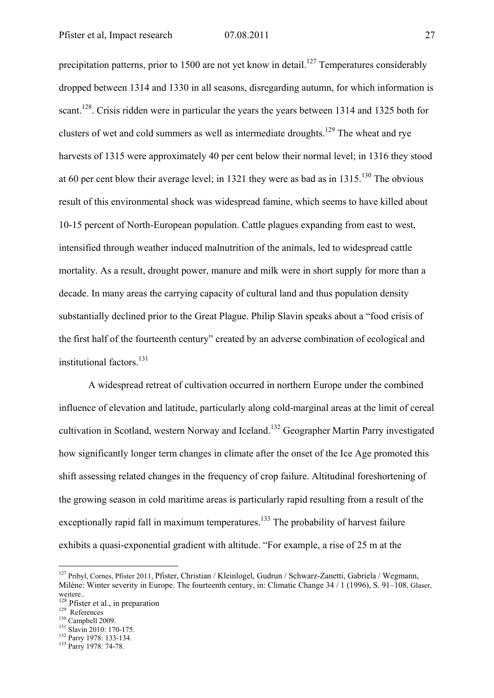precipitation patterns, prior to 1500 are not yet know in detail.<sup>127</sup> Temperatures considerably dropped between 1314 and 1330 in all seasons, disregarding autumn, for which information is scant.<sup>128</sup>. Crisis ridden were in particular the years the years between 1314 and 1325 both for clusters of wet and cold summers as well as intermediate droughts.<sup>129</sup> The wheat and rye harvests of 1315 were approximately 40 per cent below their normal level; in 1316 they stood at 60 per cent blow their average level; in 1321 they were as bad as in  $1315^{130}$  The obvious result of this environmental shock was widespread famine, which seems to have killed about 10-15 percent of North-European population. Cattle plagues expanding from east to west, intensified through weather induced malnutrition of the animals, led to widespread cattle mortality. As a result, drought power, manure and milk were in short supply for more than a decade. In many areas the carrying capacity of cultural land and thus population density substantially declined prior to the Great Plague. Philip Slavin speaks about a "food crisis of the first half of the fourteenth century" created by an adverse combination of ecological and institutional factors.<sup>131</sup>

A widespread retreat of cultivation occurred in northern Europe under the combined influence of elevation and latitude, particularly along cold-marginal areas at the limit of cereal cultivation in Scotland, western Norway and Iceland.132 Geographer Martin Parry investigated how significantly longer term changes in climate after the onset of the Ice Age promoted this shift assessing related changes in the frequency of crop failure. Altitudinal foreshortening of the growing season in cold maritime areas is particularly rapid resulting from a result of the exceptionally rapid fall in maximum temperatures.<sup>133</sup> The probability of harvest failure exhibits a quasi-exponential gradient with altitude. "For example, a rise of 25 m at the

<sup>127</sup> Pribyl, Cornes, Pfister 2011, Pfister, Christian / Kleinlogel, Gudrun / Schwarz-Zanetti, Gabriela / Wegmann, Milène: Winter severity in Europe. The fourteenth century, in: Climatic Change 34 / 1 (1996), S. 91–108, Glaser, weitere..

<sup>&</sup>lt;sup>128</sup> Pfister et al., in preparation<br><sup>129</sup> References<br><sup>130</sup> Campbell 2009.<br><sup>131</sup> Slavin 2010: 170-175.<br><sup>132</sup> Parry 1978: 133-134.<br><sup>133</sup> Parry 1978: 74-78.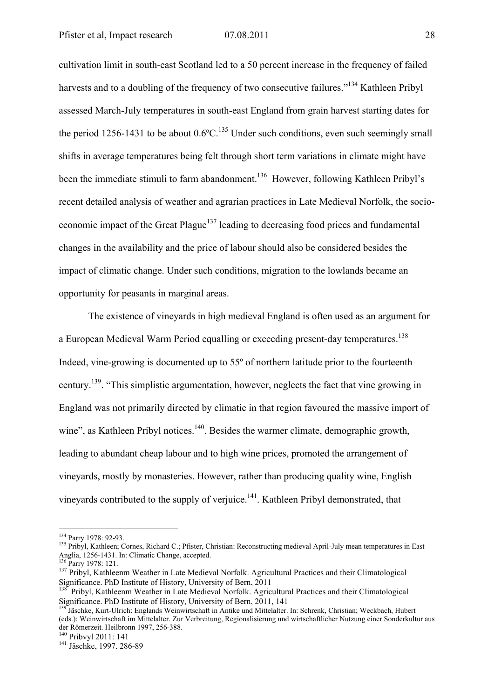cultivation limit in south-east Scotland led to a 50 percent increase in the frequency of failed harvests and to a doubling of the frequency of two consecutive failures."<sup>134</sup> Kathleen Pribyl assessed March-July temperatures in south-east England from grain harvest starting dates for the period 1256-1431 to be about  $0.6^{\circ}$ C.<sup>135</sup> Under such conditions, even such seemingly small shifts in average temperatures being felt through short term variations in climate might have been the immediate stimuli to farm abandonment.<sup>136</sup> However, following Kathleen Pribyl's recent detailed analysis of weather and agrarian practices in Late Medieval Norfolk, the socioeconomic impact of the Great Plague<sup>137</sup> leading to decreasing food prices and fundamental changes in the availability and the price of labour should also be considered besides the impact of climatic change. Under such conditions, migration to the lowlands became an opportunity for peasants in marginal areas.

The existence of vineyards in high medieval England is often used as an argument for a European Medieval Warm Period equalling or exceeding present-day temperatures.<sup>138</sup> Indeed, vine-growing is documented up to 55º of northern latitude prior to the fourteenth century.139. "This simplistic argumentation, however, neglects the fact that vine growing in England was not primarily directed by climatic in that region favoured the massive import of wine", as Kathleen Pribyl notices.<sup>140</sup>. Besides the warmer climate, demographic growth, leading to abundant cheap labour and to high wine prices, promoted the arrangement of vineyards, mostly by monasteries. However, rather than producing quality wine, English vineyards contributed to the supply of verjuice.141. Kathleen Pribyl demonstrated, that

<sup>&</sup>lt;sup>134</sup> Parry 1978: 92-93.

<sup>&</sup>lt;sup>135</sup> Pribyl, Kathleen; Cornes, Richard C.; Pfister, Christian: Reconstructing medieval April-July mean temperatures in East Anglia, 1256-1431. In: Climatic Change, accepted.<br><sup>136</sup> Parry 1978: 121.

<sup>&</sup>lt;sup>137</sup> Pribyl, Kathleenm Weather in Late Medieval Norfolk. Agricultural Practices and their Climatological Significance. PhD Institute of History, University of Bern, 2011

<sup>&</sup>lt;sup>138</sup> Pribyl, Kathleenm Weather in Late Medieval Norfolk. Agricultural Practices and their Climatological Significance. PhD Institute of History, University of Bern, 2011, 141

<sup>&</sup>lt;sup>139</sup> Jäschke, Kurt-Ulrich: Englands Weinwirtschaft in Antike und Mittelalter. In: Schrenk, Christian; Weckbach, Hubert (eds.): Weinwirtschaft im Mittelalter. Zur Verbreitung, Regionalisierung und wirtschaftlicher Nutzung einer Sonderkultur aus der Römerzeit. Heilbronn 1997, 256-388.<br><sup>140</sup> Pribvyl 2011: 141

<sup>&</sup>lt;sup>141</sup> Jäschke, 1997. 286-89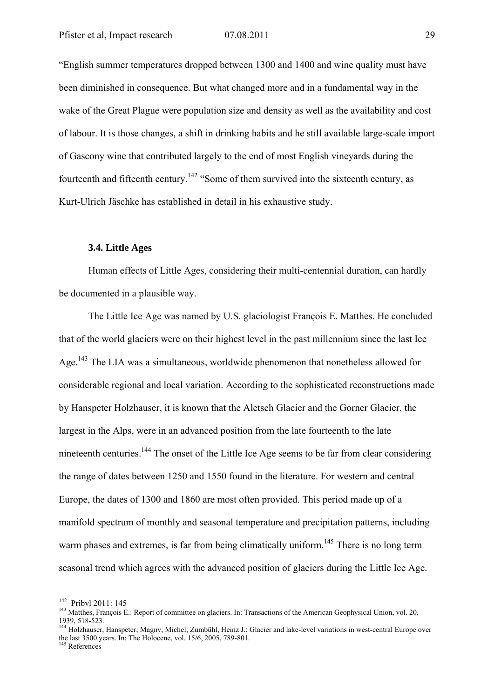"English summer temperatures dropped between 1300 and 1400 and wine quality must have been diminished in consequence. But what changed more and in a fundamental way in the wake of the Great Plague were population size and density as well as the availability and cost of labour. It is those changes, a shift in drinking habits and he still available large-scale import of Gascony wine that contributed largely to the end of most English vineyards during the fourteenth and fifteenth century.<sup>142</sup> "Some of them survived into the sixteenth century, as Kurt-Ulrich Jäschke has established in detail in his exhaustive study.

#### **3.4. Little Ages**

Human effects of Little Ages, considering their multi-centennial duration, can hardly be documented in a plausible way.

The Little Ice Age was named by U.S. glaciologist François E. Matthes. He concluded that of the world glaciers were on their highest level in the past millennium since the last Ice Age.<sup>143</sup> The LIA was a simultaneous, worldwide phenomenon that nonetheless allowed for considerable regional and local variation. According to the sophisticated reconstructions made by Hanspeter Holzhauser, it is known that the Aletsch Glacier and the Gorner Glacier, the largest in the Alps, were in an advanced position from the late fourteenth to the late nineteenth centuries.144 The onset of the Little Ice Age seems to be far from clear considering the range of dates between 1250 and 1550 found in the literature. For western and central Europe, the dates of 1300 and 1860 are most often provided. This period made up of a manifold spectrum of monthly and seasonal temperature and precipitation patterns, including warm phases and extremes, is far from being climatically uniform.<sup>145</sup> There is no long term seasonal trend which agrees with the advanced position of glaciers during the Little Ice Age.

<sup>&</sup>lt;sup>142</sup> Pribyl 2011: 145

<sup>&</sup>lt;sup>143</sup> Matthes, François E.: Report of committee on glaciers. In: Transactions of the American Geophysical Union, vol. 20, 1939, 518-523.

<sup>&</sup>lt;sup>144</sup> Holzhauser, Hanspeter; Magny, Michel; Zumbühl, Heinz J.: Glacier and lake-level variations in west-central Europe over the last 3500 years. In: The Holocene, vol. 15/6, 2005, 789-801.

<sup>&</sup>lt;sup>145</sup> References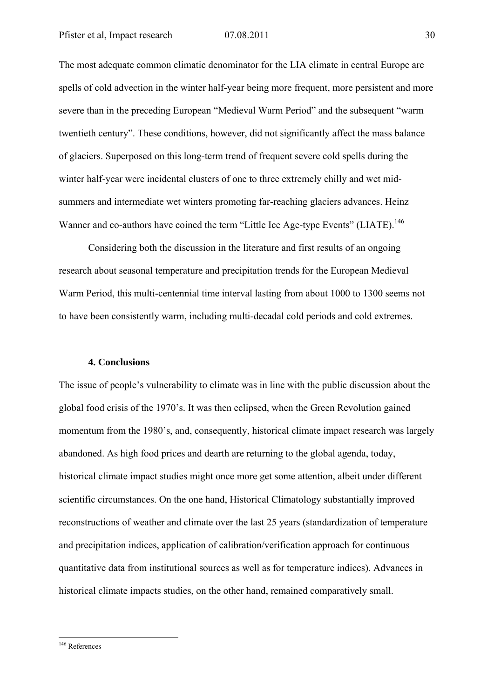The most adequate common climatic denominator for the LIA climate in central Europe are spells of cold advection in the winter half-year being more frequent, more persistent and more severe than in the preceding European "Medieval Warm Period" and the subsequent "warm twentieth century". These conditions, however, did not significantly affect the mass balance of glaciers. Superposed on this long-term trend of frequent severe cold spells during the winter half-year were incidental clusters of one to three extremely chilly and wet midsummers and intermediate wet winters promoting far-reaching glaciers advances. Heinz Wanner and co-authors have coined the term "Little Ice Age-type Events" (LIATE).<sup>146</sup>

Considering both the discussion in the literature and first results of an ongoing research about seasonal temperature and precipitation trends for the European Medieval Warm Period, this multi-centennial time interval lasting from about 1000 to 1300 seems not to have been consistently warm, including multi-decadal cold periods and cold extremes.

### **4. Conclusions**

The issue of people's vulnerability to climate was in line with the public discussion about the global food crisis of the 1970's. It was then eclipsed, when the Green Revolution gained momentum from the 1980's, and, consequently, historical climate impact research was largely abandoned. As high food prices and dearth are returning to the global agenda, today, historical climate impact studies might once more get some attention, albeit under different scientific circumstances. On the one hand, Historical Climatology substantially improved reconstructions of weather and climate over the last 25 years (standardization of temperature and precipitation indices, application of calibration/verification approach for continuous quantitative data from institutional sources as well as for temperature indices). Advances in historical climate impacts studies, on the other hand, remained comparatively small.

<sup>146</sup> References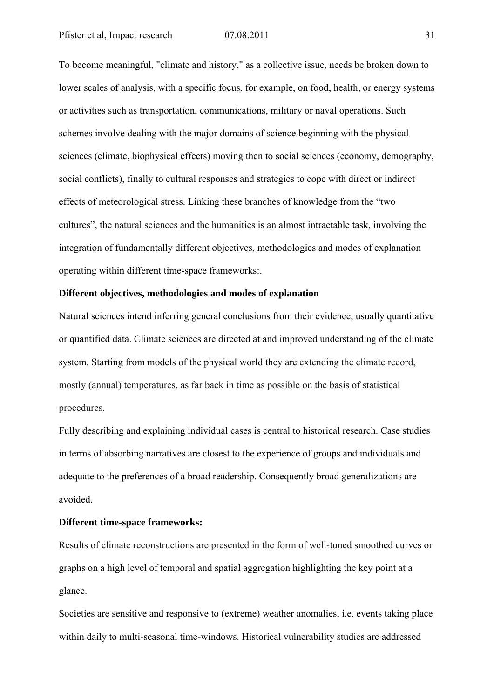To become meaningful, "climate and history," as a collective issue, needs be broken down to lower scales of analysis, with a specific focus, for example, on food, health, or energy systems or activities such as transportation, communications, military or naval operations. Such schemes involve dealing with the major domains of science beginning with the physical sciences (climate, biophysical effects) moving then to social sciences (economy, demography, social conflicts), finally to cultural responses and strategies to cope with direct or indirect effects of meteorological stress. Linking these branches of knowledge from the "two cultures", the natural sciences and the humanities is an almost intractable task, involving the integration of fundamentally different objectives, methodologies and modes of explanation operating within different time-space frameworks:.

# **Different objectives, methodologies and modes of explanation**

Natural sciences intend inferring general conclusions from their evidence, usually quantitative or quantified data. Climate sciences are directed at and improved understanding of the climate system. Starting from models of the physical world they are extending the climate record, mostly (annual) temperatures, as far back in time as possible on the basis of statistical procedures.

Fully describing and explaining individual cases is central to historical research. Case studies in terms of absorbing narratives are closest to the experience of groups and individuals and adequate to the preferences of a broad readership. Consequently broad generalizations are avoided.

# **Different time-space frameworks:**

Results of climate reconstructions are presented in the form of well-tuned smoothed curves or graphs on a high level of temporal and spatial aggregation highlighting the key point at a glance.

Societies are sensitive and responsive to (extreme) weather anomalies, i.e. events taking place within daily to multi-seasonal time-windows. Historical vulnerability studies are addressed